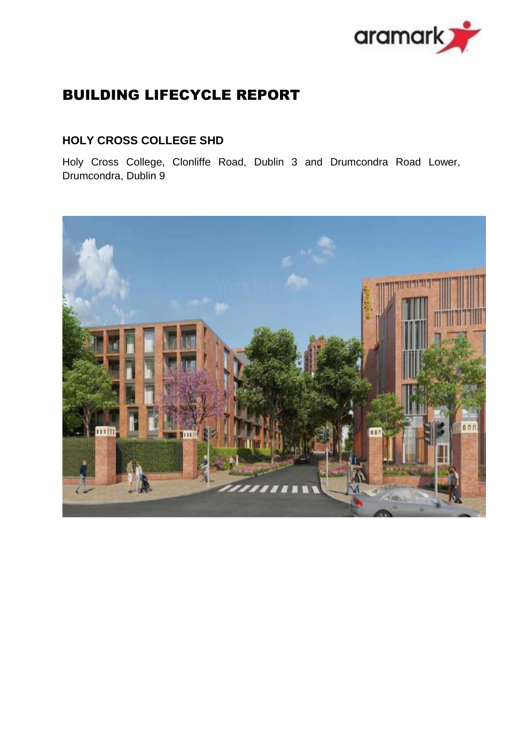

# BUILDING LIFECYCLE REPORT

## **HOLY CROSS COLLEGE SHD**

Holy Cross College, Clonliffe Road, Dublin 3 and Drumcondra Road Lower, Drumcondra, Dublin 9

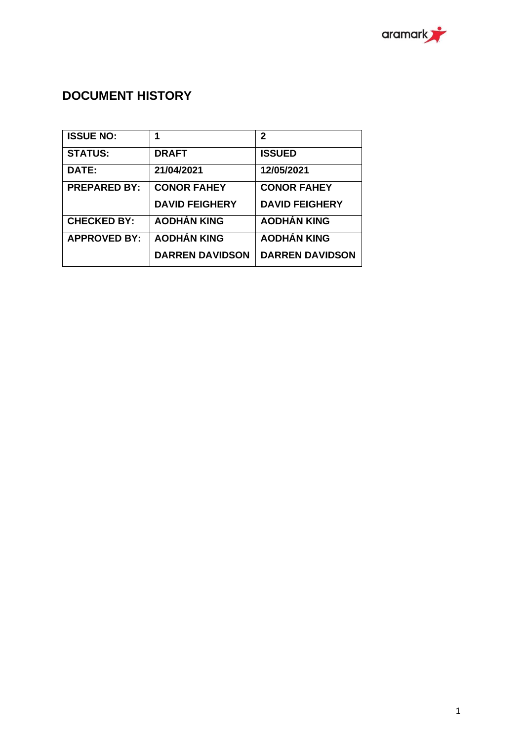

# **DOCUMENT HISTORY**

| <b>ISSUE NO:</b>    | 1                      | $\mathbf{2}$           |
|---------------------|------------------------|------------------------|
| <b>STATUS:</b>      | <b>DRAFT</b>           | <b>ISSUED</b>          |
| DATE:               | 21/04/2021             | 12/05/2021             |
| <b>PREPARED BY:</b> | <b>CONOR FAHEY</b>     | <b>CONOR FAHEY</b>     |
|                     | <b>DAVID FEIGHERY</b>  | <b>DAVID FEIGHERY</b>  |
| <b>CHECKED BY:</b>  | <b>AODHÁN KING</b>     | <b>AODHÁN KING</b>     |
| <b>APPROVED BY:</b> | <b>AODHÁN KING</b>     | <b>AODHÁN KING</b>     |
|                     | <b>DARREN DAVIDSON</b> | <b>DARREN DAVIDSON</b> |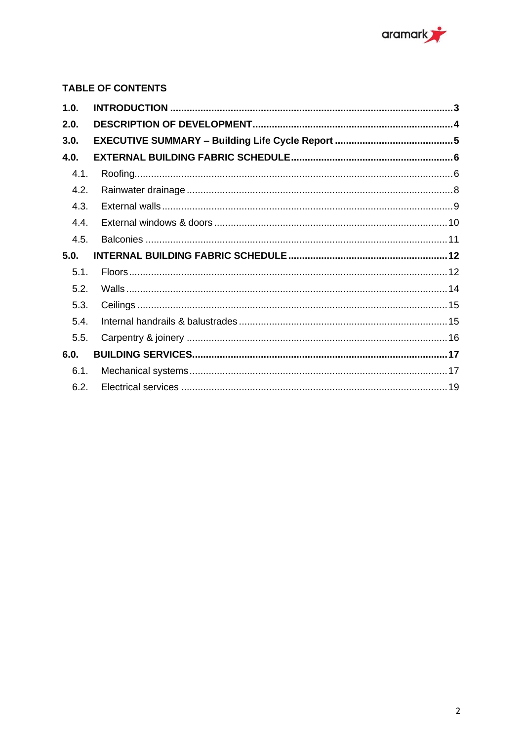

## **TABLE OF CONTENTS**

| 1.0. |  |
|------|--|
| 2.0. |  |
| 3.0. |  |
| 4.0. |  |
| 4.1. |  |
| 4.2. |  |
| 4.3. |  |
| 4.4. |  |
| 4.5. |  |
|      |  |
| 5.0. |  |
| 5.1. |  |
| 5.2. |  |
| 5.3. |  |
| 5.4. |  |
| 5.5. |  |
| 6.0. |  |
| 6.1. |  |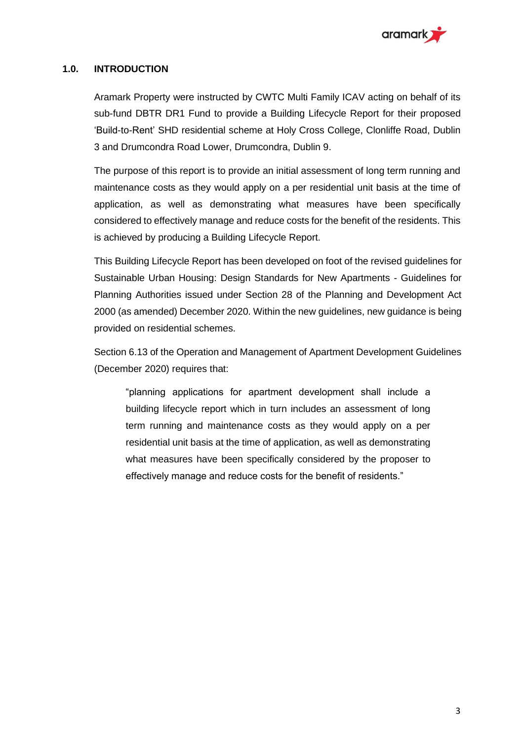

#### <span id="page-3-0"></span>**1.0. INTRODUCTION**

Aramark Property were instructed by CWTC Multi Family ICAV acting on behalf of its sub-fund DBTR DR1 Fund to provide a Building Lifecycle Report for their proposed 'Build-to-Rent' SHD residential scheme at Holy Cross College, Clonliffe Road, Dublin 3 and Drumcondra Road Lower, Drumcondra, Dublin 9.

The purpose of this report is to provide an initial assessment of long term running and maintenance costs as they would apply on a per residential unit basis at the time of application, as well as demonstrating what measures have been specifically considered to effectively manage and reduce costs for the benefit of the residents. This is achieved by producing a Building Lifecycle Report.

This Building Lifecycle Report has been developed on foot of the revised guidelines for Sustainable Urban Housing: Design Standards for New Apartments - Guidelines for Planning Authorities issued under Section 28 of the Planning and Development Act 2000 (as amended) December 2020. Within the new guidelines, new guidance is being provided on residential schemes.

Section 6.13 of the Operation and Management of Apartment Development Guidelines (December 2020) requires that:

"planning applications for apartment development shall include a building lifecycle report which in turn includes an assessment of long term running and maintenance costs as they would apply on a per residential unit basis at the time of application, as well as demonstrating what measures have been specifically considered by the proposer to effectively manage and reduce costs for the benefit of residents."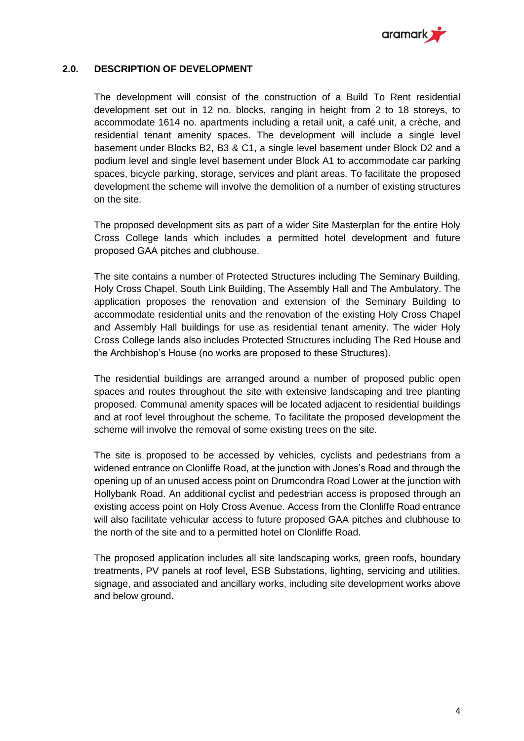

#### <span id="page-4-0"></span>**2.0. DESCRIPTION OF DEVELOPMENT**

The development will consist of the construction of a Build To Rent residential development set out in 12 no. blocks, ranging in height from 2 to 18 storeys, to accommodate 1614 no. apartments including a retail unit, a café unit, a crèche, and residential tenant amenity spaces. The development will include a single level basement under Blocks B2, B3 & C1, a single level basement under Block D2 and a podium level and single level basement under Block A1 to accommodate car parking spaces, bicycle parking, storage, services and plant areas. To facilitate the proposed development the scheme will involve the demolition of a number of existing structures on the site.

The proposed development sits as part of a wider Site Masterplan for the entire Holy Cross College lands which includes a permitted hotel development and future proposed GAA pitches and clubhouse.

The site contains a number of Protected Structures including The Seminary Building, Holy Cross Chapel, South Link Building, The Assembly Hall and The Ambulatory. The application proposes the renovation and extension of the Seminary Building to accommodate residential units and the renovation of the existing Holy Cross Chapel and Assembly Hall buildings for use as residential tenant amenity. The wider Holy Cross College lands also includes Protected Structures including The Red House and the Archbishop's House (no works are proposed to these Structures).

The residential buildings are arranged around a number of proposed public open spaces and routes throughout the site with extensive landscaping and tree planting proposed. Communal amenity spaces will be located adjacent to residential buildings and at roof level throughout the scheme. To facilitate the proposed development the scheme will involve the removal of some existing trees on the site.

The site is proposed to be accessed by vehicles, cyclists and pedestrians from a widened entrance on Clonliffe Road, at the junction with Jones's Road and through the opening up of an unused access point on Drumcondra Road Lower at the junction with Hollybank Road. An additional cyclist and pedestrian access is proposed through an existing access point on Holy Cross Avenue. Access from the Clonliffe Road entrance will also facilitate vehicular access to future proposed GAA pitches and clubhouse to the north of the site and to a permitted hotel on Clonliffe Road.

The proposed application includes all site landscaping works, green roofs, boundary treatments, PV panels at roof level, ESB Substations, lighting, servicing and utilities, signage, and associated and ancillary works, including site development works above and below ground.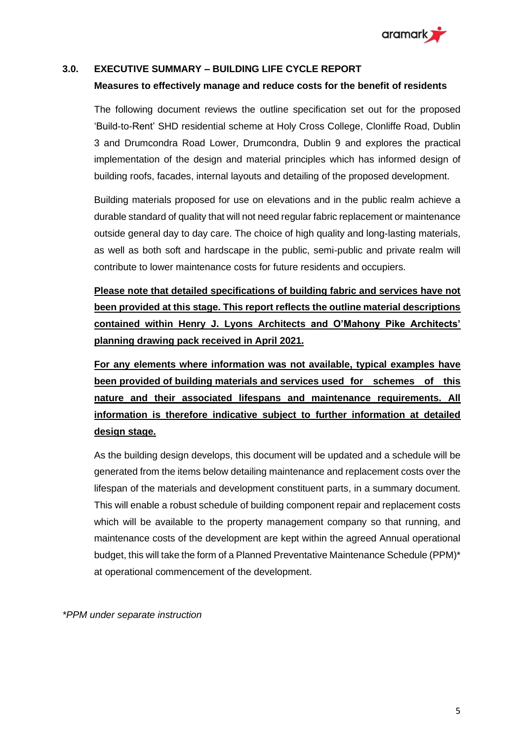

#### <span id="page-5-0"></span>**3.0. EXECUTIVE SUMMARY – BUILDING LIFE CYCLE REPORT**

#### **Measures to effectively manage and reduce costs for the benefit of residents**

The following document reviews the outline specification set out for the proposed 'Build-to-Rent' SHD residential scheme at Holy Cross College, Clonliffe Road, Dublin 3 and Drumcondra Road Lower, Drumcondra, Dublin 9 and explores the practical implementation of the design and material principles which has informed design of building roofs, facades, internal layouts and detailing of the proposed development.

Building materials proposed for use on elevations and in the public realm achieve a durable standard of quality that will not need regular fabric replacement or maintenance outside general day to day care. The choice of high quality and long-lasting materials, as well as both soft and hardscape in the public, semi-public and private realm will contribute to lower maintenance costs for future residents and occupiers.

**Please note that detailed specifications of building fabric and services have not been provided at this stage. This report reflects the outline material descriptions contained within Henry J. Lyons Architects and O'Mahony Pike Architects' planning drawing pack received in April 2021.**

**For any elements where information was not available, typical examples have been provided of building materials and services used for schemes of this nature and their associated lifespans and maintenance requirements. All information is therefore indicative subject to further information at detailed design stage.**

As the building design develops, this document will be updated and a schedule will be generated from the items below detailing maintenance and replacement costs over the lifespan of the materials and development constituent parts, in a summary document. This will enable a robust schedule of building component repair and replacement costs which will be available to the property management company so that running, and maintenance costs of the development are kept within the agreed Annual operational budget, this will take the form of a Planned Preventative Maintenance Schedule (PPM)\* at operational commencement of the development.

*\*PPM under separate instruction*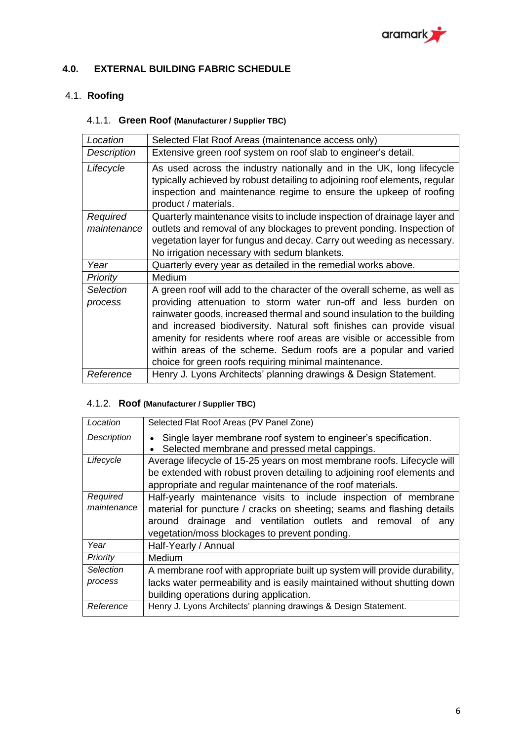

#### <span id="page-6-0"></span>**4.0. EXTERNAL BUILDING FABRIC SCHEDULE**

## <span id="page-6-1"></span>4.1. **Roofing**

#### 4.1.1. **Green Roof (Manufacturer / Supplier TBC)**

| Location           | Selected Flat Roof Areas (maintenance access only)                                                                                                                                                                                                                                                                                                                                                                       |
|--------------------|--------------------------------------------------------------------------------------------------------------------------------------------------------------------------------------------------------------------------------------------------------------------------------------------------------------------------------------------------------------------------------------------------------------------------|
| <b>Description</b> | Extensive green roof system on roof slab to engineer's detail.                                                                                                                                                                                                                                                                                                                                                           |
| Lifecycle          | As used across the industry nationally and in the UK, long lifecycle<br>typically achieved by robust detailing to adjoining roof elements, regular<br>inspection and maintenance regime to ensure the upkeep of roofing<br>product / materials.                                                                                                                                                                          |
| Required           | Quarterly maintenance visits to include inspection of drainage layer and                                                                                                                                                                                                                                                                                                                                                 |
| maintenance        | outlets and removal of any blockages to prevent ponding. Inspection of<br>vegetation layer for fungus and decay. Carry out weeding as necessary.<br>No irrigation necessary with sedum blankets.                                                                                                                                                                                                                         |
| Year               | Quarterly every year as detailed in the remedial works above.                                                                                                                                                                                                                                                                                                                                                            |
| <b>Priority</b>    | Medium                                                                                                                                                                                                                                                                                                                                                                                                                   |
| Selection          | A green roof will add to the character of the overall scheme, as well as                                                                                                                                                                                                                                                                                                                                                 |
| process            | providing attenuation to storm water run-off and less burden on<br>rainwater goods, increased thermal and sound insulation to the building<br>and increased biodiversity. Natural soft finishes can provide visual<br>amenity for residents where roof areas are visible or accessible from<br>within areas of the scheme. Sedum roofs are a popular and varied<br>choice for green roofs requiring minimal maintenance. |
| Reference          | Henry J. Lyons Architects' planning drawings & Design Statement.                                                                                                                                                                                                                                                                                                                                                         |

#### 4.1.2. **Roof (Manufacturer / Supplier TBC)**

| Location                | Selected Flat Roof Areas (PV Panel Zone)                                                                                                                                                                                                                        |
|-------------------------|-----------------------------------------------------------------------------------------------------------------------------------------------------------------------------------------------------------------------------------------------------------------|
| Description             | Single layer membrane roof system to engineer's specification.<br>Selected membrane and pressed metal cappings.<br>$\bullet$                                                                                                                                    |
| Lifecycle               | Average lifecycle of 15-25 years on most membrane roofs. Lifecycle will<br>be extended with robust proven detailing to adjoining roof elements and                                                                                                              |
|                         | appropriate and regular maintenance of the roof materials.                                                                                                                                                                                                      |
| Required<br>maintenance | Half-yearly maintenance visits to include inspection of membrane<br>material for puncture / cracks on sheeting; seams and flashing details<br>around drainage and ventilation outlets and removal<br>Οt<br>any<br>vegetation/moss blockages to prevent ponding. |
| Year                    | Half-Yearly / Annual                                                                                                                                                                                                                                            |
| Priority                | Medium                                                                                                                                                                                                                                                          |
| Selection<br>process    | A membrane roof with appropriate built up system will provide durability,<br>lacks water permeability and is easily maintained without shutting down<br>building operations during application.                                                                 |
| Reference               | Henry J. Lyons Architects' planning drawings & Design Statement.                                                                                                                                                                                                |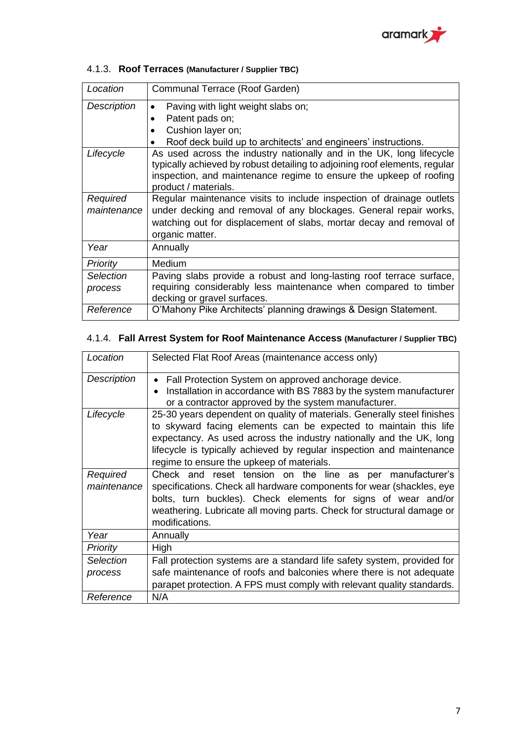

| Location                | Communal Terrace (Roof Garden)                                                                                                                                                                                                                   |
|-------------------------|--------------------------------------------------------------------------------------------------------------------------------------------------------------------------------------------------------------------------------------------------|
| Description             | Paving with light weight slabs on;<br>$\bullet$<br>Patent pads on;<br>$\bullet$<br>Cushion layer on;<br>$\bullet$<br>Roof deck build up to architects' and engineers' instructions.                                                              |
| Lifecycle               | As used across the industry nationally and in the UK, long lifecycle<br>typically achieved by robust detailing to adjoining roof elements, regular<br>inspection, and maintenance regime to ensure the upkeep of roofing<br>product / materials. |
| Required<br>maintenance | Regular maintenance visits to include inspection of drainage outlets<br>under decking and removal of any blockages. General repair works,<br>watching out for displacement of slabs, mortar decay and removal of<br>organic matter.              |
| Year                    | Annually                                                                                                                                                                                                                                         |
| <b>Priority</b>         | <b>Medium</b>                                                                                                                                                                                                                                    |
| Selection<br>process    | Paving slabs provide a robust and long-lasting roof terrace surface,<br>requiring considerably less maintenance when compared to timber<br>decking or gravel surfaces.                                                                           |
| Reference               | O'Mahony Pike Architects' planning drawings & Design Statement.                                                                                                                                                                                  |

## 4.1.3. **Roof Terraces (Manufacturer / Supplier TBC)**

## 4.1.4. **Fall Arrest System for Roof Maintenance Access (Manufacturer / Supplier TBC)**

| Location                | Selected Flat Roof Areas (maintenance access only)                                                                                                                                                                                                                                                                                       |
|-------------------------|------------------------------------------------------------------------------------------------------------------------------------------------------------------------------------------------------------------------------------------------------------------------------------------------------------------------------------------|
| <b>Description</b>      | Fall Protection System on approved anchorage device.<br>$\bullet$<br>Installation in accordance with BS 7883 by the system manufacturer<br>$\bullet$<br>or a contractor approved by the system manufacturer.                                                                                                                             |
| Lifecycle               | 25-30 years dependent on quality of materials. Generally steel finishes<br>to skyward facing elements can be expected to maintain this life<br>expectancy. As used across the industry nationally and the UK, long<br>lifecycle is typically achieved by regular inspection and maintenance<br>regime to ensure the upkeep of materials. |
| Required<br>maintenance | Check and reset tension on the line as per manufacturer's<br>specifications. Check all hardware components for wear (shackles, eye<br>bolts, turn buckles). Check elements for signs of wear and/or<br>weathering. Lubricate all moving parts. Check for structural damage or<br>modifications.                                          |
| Year                    | Annually                                                                                                                                                                                                                                                                                                                                 |
| <b>Priority</b>         | High                                                                                                                                                                                                                                                                                                                                     |
| <b>Selection</b>        | Fall protection systems are a standard life safety system, provided for                                                                                                                                                                                                                                                                  |
| process                 | safe maintenance of roofs and balconies where there is not adequate                                                                                                                                                                                                                                                                      |
|                         | parapet protection. A FPS must comply with relevant quality standards.                                                                                                                                                                                                                                                                   |
| Reference               | N/A                                                                                                                                                                                                                                                                                                                                      |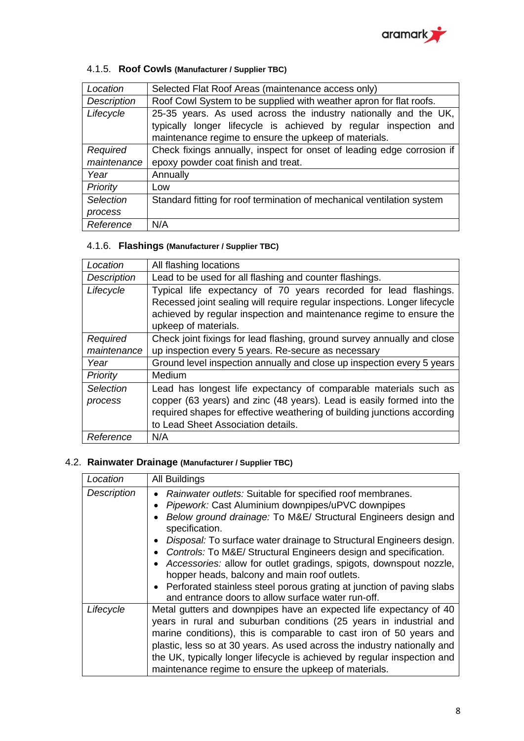

## 4.1.5. **Roof Cowls (Manufacturer / Supplier TBC)**

| Location         | Selected Flat Roof Areas (maintenance access only)                     |
|------------------|------------------------------------------------------------------------|
| Description      | Roof Cowl System to be supplied with weather apron for flat roofs.     |
| Lifecycle        | 25-35 years. As used across the industry nationally and the UK,        |
|                  | typically longer lifecycle is achieved by regular inspection and       |
|                  | maintenance regime to ensure the upkeep of materials.                  |
| Required         | Check fixings annually, inspect for onset of leading edge corrosion if |
| maintenance      | epoxy powder coat finish and treat.                                    |
| Year             | Annually                                                               |
| Priority         | Low                                                                    |
| <b>Selection</b> | Standard fitting for roof termination of mechanical ventilation system |
| process          |                                                                        |
| Reference        | N/A                                                                    |

### 4.1.6. **Flashings (Manufacturer / Supplier TBC)**

| Location           | All flashing locations                                                    |
|--------------------|---------------------------------------------------------------------------|
| <b>Description</b> | Lead to be used for all flashing and counter flashings.                   |
| Lifecycle          | Typical life expectancy of 70 years recorded for lead flashings.          |
|                    | Recessed joint sealing will require regular inspections. Longer lifecycle |
|                    | achieved by regular inspection and maintenance regime to ensure the       |
|                    | upkeep of materials.                                                      |
| Required           | Check joint fixings for lead flashing, ground survey annually and close   |
| maintenance        | up inspection every 5 years. Re-secure as necessary                       |
| Year               | Ground level inspection annually and close up inspection every 5 years    |
| Priority           | Medium                                                                    |
| Selection          | Lead has longest life expectancy of comparable materials such as          |
| process            | copper (63 years) and zinc (48 years). Lead is easily formed into the     |
|                    | required shapes for effective weathering of building junctions according  |
|                    | to Lead Sheet Association details.                                        |
| Reference          | N/A                                                                       |

## <span id="page-8-0"></span>4.2. **Rainwater Drainage (Manufacturer / Supplier TBC)**

| Location    | All Buildings                                                                                                                                                                                                                                                                                                                                                                                                                                                                                                                                  |
|-------------|------------------------------------------------------------------------------------------------------------------------------------------------------------------------------------------------------------------------------------------------------------------------------------------------------------------------------------------------------------------------------------------------------------------------------------------------------------------------------------------------------------------------------------------------|
| Description | Rainwater outlets: Suitable for specified roof membranes.<br>Pipework: Cast Aluminium downpipes/uPVC downpipes<br>Below ground drainage: To M&E/ Structural Engineers design and<br>specification.<br>Disposal: To surface water drainage to Structural Engineers design.<br>Controls: To M&E/ Structural Engineers design and specification.<br>Accessories: allow for outlet gradings, spigots, downspout nozzle,<br>hopper heads, balcony and main roof outlets.<br>• Perforated stainless steel porous grating at junction of paving slabs |
| Lifecycle   | and entrance doors to allow surface water run-off.<br>Metal gutters and downpipes have an expected life expectancy of 40<br>years in rural and suburban conditions (25 years in industrial and<br>marine conditions), this is comparable to cast iron of 50 years and<br>plastic, less so at 30 years. As used across the industry nationally and<br>the UK, typically longer lifecycle is achieved by regular inspection and<br>maintenance regime to ensure the upkeep of materials.                                                         |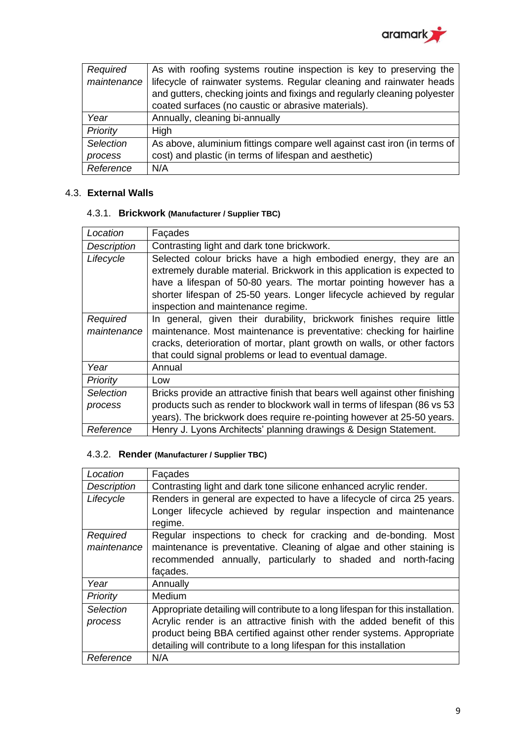

| Required    | As with roofing systems routine inspection is key to preserving the       |
|-------------|---------------------------------------------------------------------------|
| maintenance | lifecycle of rainwater systems. Regular cleaning and rainwater heads      |
|             | and gutters, checking joints and fixings and regularly cleaning polyester |
|             | coated surfaces (no caustic or abrasive materials).                       |
| Year        | Annually, cleaning bi-annually                                            |
| Priority    | High                                                                      |
| Selection   | As above, aluminium fittings compare well against cast iron (in terms of  |
| process     | cost) and plastic (in terms of lifespan and aesthetic)                    |
| Reference   | N/A                                                                       |

#### <span id="page-9-0"></span>4.3. **External Walls**

#### 4.3.1. **Brickwork (Manufacturer / Supplier TBC)**

| Location                | Façades                                                                                                                                                                                                                                                                                                                         |
|-------------------------|---------------------------------------------------------------------------------------------------------------------------------------------------------------------------------------------------------------------------------------------------------------------------------------------------------------------------------|
| Description             | Contrasting light and dark tone brickwork.                                                                                                                                                                                                                                                                                      |
| Lifecycle               | Selected colour bricks have a high embodied energy, they are an<br>extremely durable material. Brickwork in this application is expected to<br>have a lifespan of 50-80 years. The mortar pointing however has a<br>shorter lifespan of 25-50 years. Longer lifecycle achieved by regular<br>inspection and maintenance regime. |
| Required<br>maintenance | In general, given their durability, brickwork finishes require little<br>maintenance. Most maintenance is preventative: checking for hairline<br>cracks, deterioration of mortar, plant growth on walls, or other factors<br>that could signal problems or lead to eventual damage.                                             |
| Year                    | Annual                                                                                                                                                                                                                                                                                                                          |
| Priority                | Low                                                                                                                                                                                                                                                                                                                             |
| Selection<br>process    | Bricks provide an attractive finish that bears well against other finishing<br>products such as render to blockwork wall in terms of lifespan (86 vs 53<br>years). The brickwork does require re-pointing however at 25-50 years.                                                                                               |
| Reference               | Henry J. Lyons Architects' planning drawings & Design Statement.                                                                                                                                                                                                                                                                |

#### 4.3.2. **Render (Manufacturer / Supplier TBC)**

| Location    | Facades                                                                         |
|-------------|---------------------------------------------------------------------------------|
| Description | Contrasting light and dark tone silicone enhanced acrylic render.               |
| Lifecycle   | Renders in general are expected to have a lifecycle of circa 25 years.          |
|             | Longer lifecycle achieved by regular inspection and maintenance                 |
|             | regime.                                                                         |
| Required    | Regular inspections to check for cracking and de-bonding. Most                  |
| maintenance | maintenance is preventative. Cleaning of algae and other staining is            |
|             | recommended annually, particularly to shaded and north-facing                   |
|             | facades.                                                                        |
| Year        | Annually                                                                        |
| Priority    | Medium                                                                          |
| Selection   | Appropriate detailing will contribute to a long lifespan for this installation. |
| process     | Acrylic render is an attractive finish with the added benefit of this           |
|             | product being BBA certified against other render systems. Appropriate           |
|             | detailing will contribute to a long lifespan for this installation              |
| Reference   | N/A                                                                             |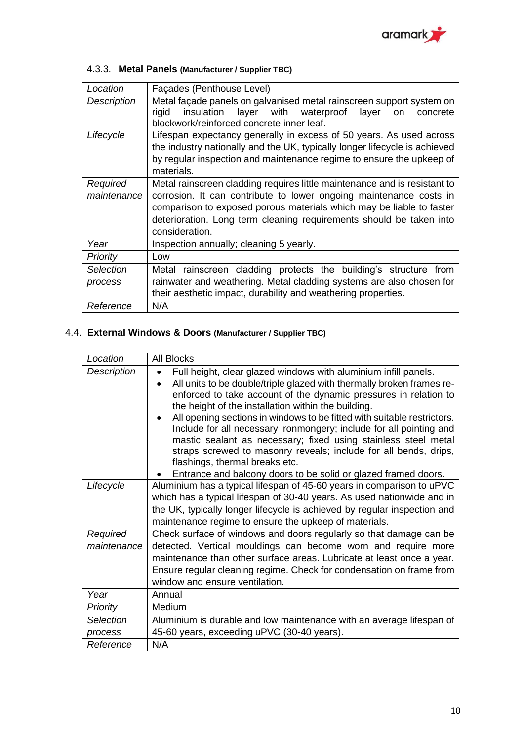

## 4.3.3. **Metal Panels (Manufacturer / Supplier TBC)**

| Location        | Façades (Penthouse Level)                                                                                                                    |
|-----------------|----------------------------------------------------------------------------------------------------------------------------------------------|
| Description     | Metal façade panels on galvanised metal rainscreen support system on<br>insulation layer with waterproof<br>rigid<br>layer<br>concrete<br>on |
|                 | blockwork/reinforced concrete inner leaf.                                                                                                    |
| Lifecycle       | Lifespan expectancy generally in excess of 50 years. As used across                                                                          |
|                 | the industry nationally and the UK, typically longer lifecycle is achieved                                                                   |
|                 | by regular inspection and maintenance regime to ensure the upkeep of                                                                         |
|                 | materials.                                                                                                                                   |
| Required        | Metal rainscreen cladding requires little maintenance and is resistant to                                                                    |
| maintenance     | corrosion. It can contribute to lower ongoing maintenance costs in                                                                           |
|                 | comparison to exposed porous materials which may be liable to faster                                                                         |
|                 | deterioration. Long term cleaning requirements should be taken into                                                                          |
|                 | consideration.                                                                                                                               |
| Year            | Inspection annually; cleaning 5 yearly.                                                                                                      |
| <b>Priority</b> | Low                                                                                                                                          |
| Selection       | Metal rainscreen cladding protects the building's structure from                                                                             |
| process         | rainwater and weathering. Metal cladding systems are also chosen for                                                                         |
|                 | their aesthetic impact, durability and weathering properties.                                                                                |
| Reference       | N/A                                                                                                                                          |

## <span id="page-10-0"></span>4.4. **External Windows & Doors (Manufacturer / Supplier TBC)**

| Location                    | <b>All Blocks</b>                                                                                                                                                                                                                                                                                                                                                                                                                                                                                                                                                                                                                                               |
|-----------------------------|-----------------------------------------------------------------------------------------------------------------------------------------------------------------------------------------------------------------------------------------------------------------------------------------------------------------------------------------------------------------------------------------------------------------------------------------------------------------------------------------------------------------------------------------------------------------------------------------------------------------------------------------------------------------|
| <b>Description</b>          | Full height, clear glazed windows with aluminium infill panels.<br>All units to be double/triple glazed with thermally broken frames re-<br>enforced to take account of the dynamic pressures in relation to<br>the height of the installation within the building.<br>All opening sections in windows to be fitted with suitable restrictors.<br>Include for all necessary ironmongery; include for all pointing and<br>mastic sealant as necessary; fixed using stainless steel metal<br>straps screwed to masonry reveals; include for all bends, drips,<br>flashings, thermal breaks etc.<br>Entrance and balcony doors to be solid or glazed framed doors. |
| Lifecycle                   | Aluminium has a typical lifespan of 45-60 years in comparison to uPVC<br>which has a typical lifespan of 30-40 years. As used nationwide and in<br>the UK, typically longer lifecycle is achieved by regular inspection and<br>maintenance regime to ensure the upkeep of materials.                                                                                                                                                                                                                                                                                                                                                                            |
| Required<br>maintenance     | Check surface of windows and doors regularly so that damage can be<br>detected. Vertical mouldings can become worn and require more<br>maintenance than other surface areas. Lubricate at least once a year.<br>Ensure regular cleaning regime. Check for condensation on frame from<br>window and ensure ventilation.                                                                                                                                                                                                                                                                                                                                          |
| Year                        | Annual                                                                                                                                                                                                                                                                                                                                                                                                                                                                                                                                                                                                                                                          |
| Priority                    | Medium                                                                                                                                                                                                                                                                                                                                                                                                                                                                                                                                                                                                                                                          |
| <b>Selection</b><br>process | Aluminium is durable and low maintenance with an average lifespan of<br>45-60 years, exceeding uPVC (30-40 years).                                                                                                                                                                                                                                                                                                                                                                                                                                                                                                                                              |
| Reference                   | N/A                                                                                                                                                                                                                                                                                                                                                                                                                                                                                                                                                                                                                                                             |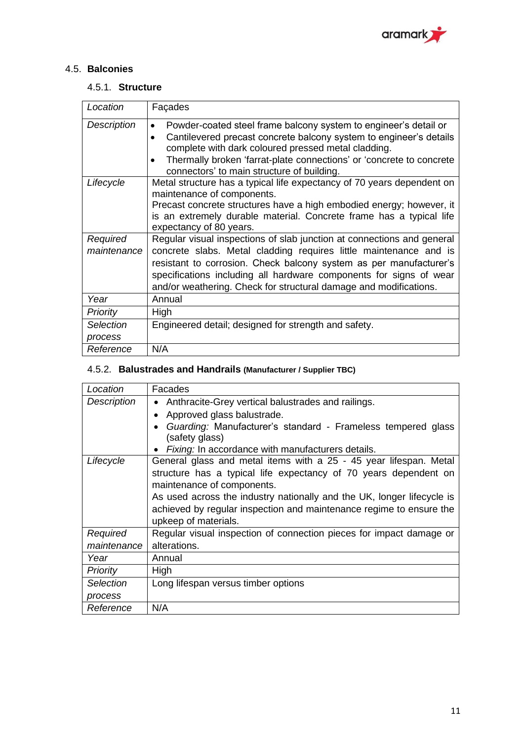

## <span id="page-11-0"></span>4.5. **Balconies**

#### 4.5.1. **Structure**

| Location                    | Façades                                                                                                                                                                                                                                                                                                                                                      |
|-----------------------------|--------------------------------------------------------------------------------------------------------------------------------------------------------------------------------------------------------------------------------------------------------------------------------------------------------------------------------------------------------------|
| Description                 | Powder-coated steel frame balcony system to engineer's detail or<br>Cantilevered precast concrete balcony system to engineer's details<br>complete with dark coloured pressed metal cladding.<br>Thermally broken 'farrat-plate connections' or 'concrete to concrete<br>connectors' to main structure of building.                                          |
| Lifecycle                   | Metal structure has a typical life expectancy of 70 years dependent on<br>maintenance of components.<br>Precast concrete structures have a high embodied energy; however, it<br>is an extremely durable material. Concrete frame has a typical life<br>expectancy of 80 years.                                                                               |
| Required<br>maintenance     | Regular visual inspections of slab junction at connections and general<br>concrete slabs. Metal cladding requires little maintenance and is<br>resistant to corrosion. Check balcony system as per manufacturer's<br>specifications including all hardware components for signs of wear<br>and/or weathering. Check for structural damage and modifications. |
| Year                        | Annual                                                                                                                                                                                                                                                                                                                                                       |
| <b>Priority</b>             | High                                                                                                                                                                                                                                                                                                                                                         |
| <b>Selection</b><br>process | Engineered detail; designed for strength and safety.                                                                                                                                                                                                                                                                                                         |
| Reference                   | N/A                                                                                                                                                                                                                                                                                                                                                          |

## 4.5.2. **Balustrades and Handrails (Manufacturer / Supplier TBC)**

| Location        | Facades                                                                |
|-----------------|------------------------------------------------------------------------|
| Description     | Anthracite-Grey vertical balustrades and railings.                     |
|                 | Approved glass balustrade.<br>$\bullet$                                |
|                 | Guarding: Manufacturer's standard - Frameless tempered glass           |
|                 | (safety glass)                                                         |
|                 | Fixing: In accordance with manufacturers details.                      |
| Lifecycle       | General glass and metal items with a 25 - 45 year lifespan. Metal      |
|                 | structure has a typical life expectancy of 70 years dependent on       |
|                 | maintenance of components.                                             |
|                 | As used across the industry nationally and the UK, longer lifecycle is |
|                 | achieved by regular inspection and maintenance regime to ensure the    |
|                 | upkeep of materials.                                                   |
| Required        | Regular visual inspection of connection pieces for impact damage or    |
| maintenance     | alterations.                                                           |
| Year            | Annual                                                                 |
| <b>Priority</b> | High                                                                   |
| Selection       | Long lifespan versus timber options                                    |
| process         |                                                                        |
| Reference       | N/A                                                                    |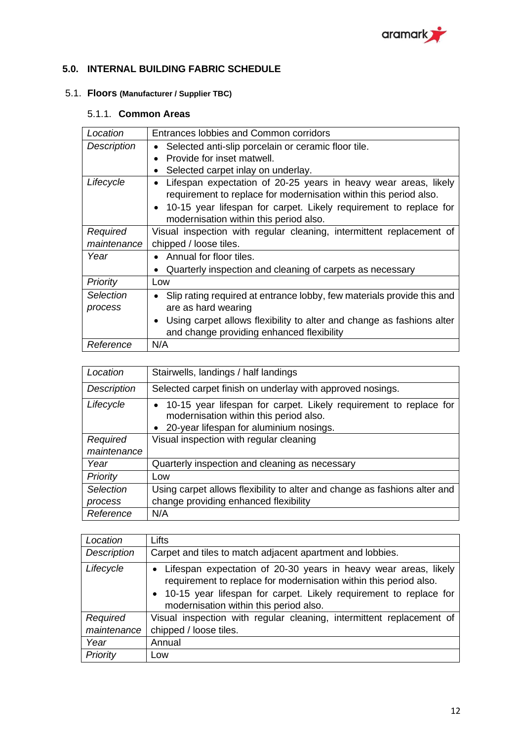

## <span id="page-12-0"></span>**5.0. INTERNAL BUILDING FABRIC SCHEDULE**

## <span id="page-12-1"></span>5.1. **Floors (Manufacturer / Supplier TBC)**

## 5.1.1. **Common Areas**

| Location           | Entrances lobbies and Common corridors                                              |
|--------------------|-------------------------------------------------------------------------------------|
| <b>Description</b> | Selected anti-slip porcelain or ceramic floor tile.<br>٠                            |
|                    | Provide for inset matwell.<br>$\bullet$                                             |
|                    | Selected carpet inlay on underlay.<br>$\bullet$                                     |
| Lifecycle          | Lifespan expectation of 20-25 years in heavy wear areas, likely<br>٠                |
|                    | requirement to replace for modernisation within this period also.                   |
|                    | 10-15 year lifespan for carpet. Likely requirement to replace for<br>$\bullet$      |
|                    | modernisation within this period also.                                              |
| Required           | Visual inspection with regular cleaning, intermittent replacement of                |
| maintenance        | chipped / loose tiles.                                                              |
| Year               | Annual for floor tiles.<br>$\bullet$                                                |
|                    | Quarterly inspection and cleaning of carpets as necessary                           |
| Priority           | Low                                                                                 |
| Selection          | Slip rating required at entrance lobby, few materials provide this and<br>$\bullet$ |
| process            | are as hard wearing                                                                 |
|                    | Using carpet allows flexibility to alter and change as fashions alter<br>$\bullet$  |
|                    | and change providing enhanced flexibility                                           |
| Reference          | N/A                                                                                 |

| Location    | Stairwells, landings / half landings                                                                                                                     |
|-------------|----------------------------------------------------------------------------------------------------------------------------------------------------------|
| Description | Selected carpet finish on underlay with approved nosings.                                                                                                |
| Lifecycle   | • 10-15 year lifespan for carpet. Likely requirement to replace for<br>modernisation within this period also.<br>20-year lifespan for aluminium nosings. |
| Required    | Visual inspection with regular cleaning                                                                                                                  |
| maintenance |                                                                                                                                                          |
| Year        | Quarterly inspection and cleaning as necessary                                                                                                           |
| Priority    | Low                                                                                                                                                      |
| Selection   | Using carpet allows flexibility to alter and change as fashions alter and                                                                                |
| process     | change providing enhanced flexibility                                                                                                                    |
| Reference   | N/A                                                                                                                                                      |

| Location           | Lifts                                                                                                                                                                                                                                                   |
|--------------------|---------------------------------------------------------------------------------------------------------------------------------------------------------------------------------------------------------------------------------------------------------|
| <b>Description</b> | Carpet and tiles to match adjacent apartment and lobbies.                                                                                                                                                                                               |
| Lifecycle          | • Lifespan expectation of 20-30 years in heavy wear areas, likely<br>requirement to replace for modernisation within this period also.<br>· 10-15 year lifespan for carpet. Likely requirement to replace for<br>modernisation within this period also. |
| Required           | Visual inspection with regular cleaning, intermittent replacement of                                                                                                                                                                                    |
| maintenance        | chipped / loose tiles.                                                                                                                                                                                                                                  |
| Year               | Annual                                                                                                                                                                                                                                                  |
| Priority           | Low                                                                                                                                                                                                                                                     |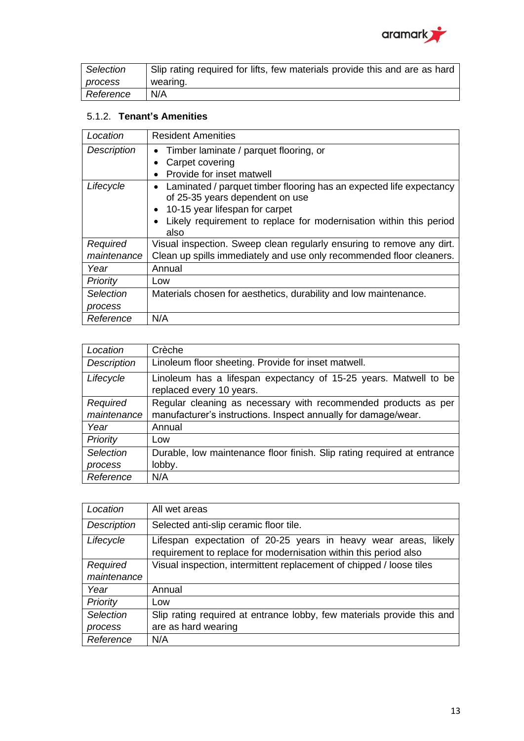

| Selection      | Slip rating required for lifts, few materials provide this and are as hard |
|----------------|----------------------------------------------------------------------------|
| <i>process</i> | wearing.                                                                   |
| Reference      | N/A                                                                        |

### 5.1.2. **Tenant's Amenities**

| Location           | <b>Resident Amenities</b>                                             |
|--------------------|-----------------------------------------------------------------------|
| <b>Description</b> | Timber laminate / parquet flooring, or                                |
|                    | Carpet covering                                                       |
|                    | Provide for inset matwell                                             |
| Lifecycle          | Laminated / parquet timber flooring has an expected life expectancy   |
|                    | of 25-35 years dependent on use                                       |
|                    | 10-15 year lifespan for carpet                                        |
|                    | Likely requirement to replace for modernisation within this period    |
|                    | also                                                                  |
| Required           | Visual inspection. Sweep clean regularly ensuring to remove any dirt. |
| maintenance        | Clean up spills immediately and use only recommended floor cleaners.  |
| Year               | Annual                                                                |
| Priority           | Low                                                                   |
| Selection          | Materials chosen for aesthetics, durability and low maintenance.      |
| process            |                                                                       |
| Reference          | N/A                                                                   |

| Location           | Crèche                                                                                       |
|--------------------|----------------------------------------------------------------------------------------------|
| <b>Description</b> | Linoleum floor sheeting. Provide for inset matwell.                                          |
| Lifecycle          | Linoleum has a lifespan expectancy of 15-25 years. Matwell to be<br>replaced every 10 years. |
| Required           | Regular cleaning as necessary with recommended products as per                               |
| maintenance        | manufacturer's instructions. Inspect annually for damage/wear.                               |
| Year               | Annual                                                                                       |
| Priority           | Low                                                                                          |
| Selection          | Durable, low maintenance floor finish. Slip rating required at entrance                      |
| process            | lobby.                                                                                       |
| Reference          | N/A                                                                                          |

| Location           | All wet areas                                                                                                                          |
|--------------------|----------------------------------------------------------------------------------------------------------------------------------------|
| <b>Description</b> | Selected anti-slip ceramic floor tile.                                                                                                 |
| Lifecycle          | Lifespan expectation of 20-25 years in heavy wear areas,<br>likely<br>requirement to replace for modernisation within this period also |
| Required           | Visual inspection, intermittent replacement of chipped / loose tiles                                                                   |
| maintenance        |                                                                                                                                        |
| Year               | Annual                                                                                                                                 |
| Priority           | Low                                                                                                                                    |
| Selection          | Slip rating required at entrance lobby, few materials provide this and                                                                 |
| process            | are as hard wearing                                                                                                                    |
| Reference          | N/A                                                                                                                                    |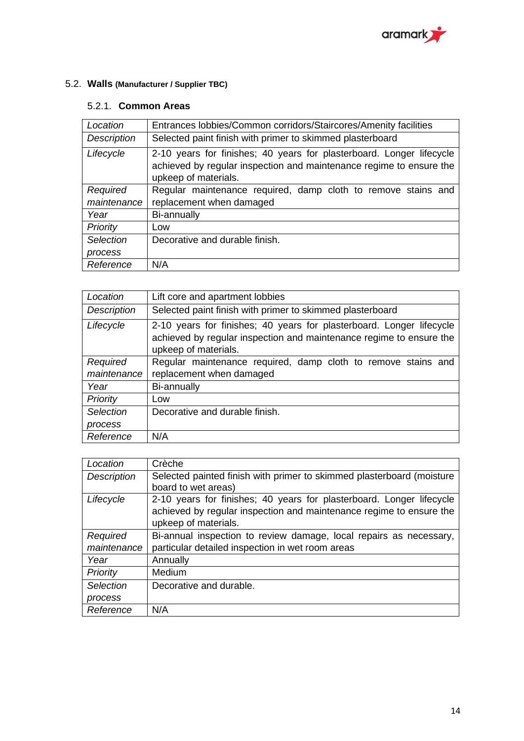

## <span id="page-14-0"></span>5.2. **Walls (Manufacturer / Supplier TBC)**

#### 5.2.1. **Common Areas**

| Location    | Entrances lobbies/Common corridors/Staircores/Amenity facilities                                                                                                    |
|-------------|---------------------------------------------------------------------------------------------------------------------------------------------------------------------|
| Description | Selected paint finish with primer to skimmed plasterboard                                                                                                           |
| Lifecycle   | 2-10 years for finishes; 40 years for plasterboard. Longer lifecycle<br>achieved by regular inspection and maintenance regime to ensure the<br>upkeep of materials. |
| Required    | Regular maintenance required, damp cloth to remove stains and                                                                                                       |
| maintenance | replacement when damaged                                                                                                                                            |
| Year        | Bi-annually                                                                                                                                                         |
| Priority    | Low                                                                                                                                                                 |
| Selection   | Decorative and durable finish.                                                                                                                                      |
| process     |                                                                                                                                                                     |
| Reference   | N/A                                                                                                                                                                 |

| Location    | Lift core and apartment lobbies                                                                                                                                     |
|-------------|---------------------------------------------------------------------------------------------------------------------------------------------------------------------|
| Description | Selected paint finish with primer to skimmed plasterboard                                                                                                           |
| Lifecycle   | 2-10 years for finishes; 40 years for plasterboard. Longer lifecycle<br>achieved by regular inspection and maintenance regime to ensure the<br>upkeep of materials. |
| Required    | Regular maintenance required, damp cloth to remove stains and                                                                                                       |
| maintenance | replacement when damaged                                                                                                                                            |
| Year        | Bi-annually                                                                                                                                                         |
| Priority    | Low                                                                                                                                                                 |
| Selection   | Decorative and durable finish.                                                                                                                                      |
| process     |                                                                                                                                                                     |
| Reference   | N/A                                                                                                                                                                 |

| Location    | Crèche                                                                |
|-------------|-----------------------------------------------------------------------|
| Description | Selected painted finish with primer to skimmed plasterboard (moisture |
|             | board to wet areas)                                                   |
| Lifecycle   | 2-10 years for finishes; 40 years for plasterboard. Longer lifecycle  |
|             | achieved by regular inspection and maintenance regime to ensure the   |
|             | upkeep of materials.                                                  |
| Required    | Bi-annual inspection to review damage, local repairs as necessary,    |
| maintenance | particular detailed inspection in wet room areas                      |
| Year        | Annually                                                              |
| Priority    | Medium                                                                |
| Selection   | Decorative and durable.                                               |
| process     |                                                                       |
| Reference   | N/A                                                                   |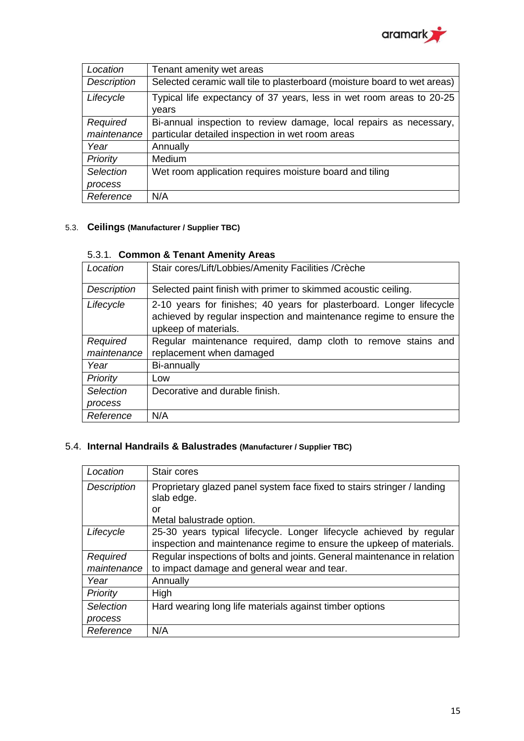

| Location    | Tenant amenity wet areas                                                 |
|-------------|--------------------------------------------------------------------------|
| Description | Selected ceramic wall tile to plasterboard (moisture board to wet areas) |
| Lifecycle   | Typical life expectancy of 37 years, less in wet room areas to 20-25     |
|             | vears                                                                    |
| Required    | Bi-annual inspection to review damage, local repairs as necessary,       |
| maintenance | particular detailed inspection in wet room areas                         |
| Year        | Annually                                                                 |
| Priority    | Medium                                                                   |
| Selection   | Wet room application requires moisture board and tiling                  |
| process     |                                                                          |
| Reference   | N/A                                                                      |

#### <span id="page-15-0"></span>5.3. **Ceilings (Manufacturer / Supplier TBC)**

#### 5.3.1. **Common & Tenant Amenity Areas**

| Location    | Stair cores/Lift/Lobbies/Amenity Facilities / Crèche                                                                                                                |
|-------------|---------------------------------------------------------------------------------------------------------------------------------------------------------------------|
| Description | Selected paint finish with primer to skimmed acoustic ceiling.                                                                                                      |
| Lifecycle   | 2-10 years for finishes; 40 years for plasterboard. Longer lifecycle<br>achieved by regular inspection and maintenance regime to ensure the<br>upkeep of materials. |
| Required    | Regular maintenance required, damp cloth to remove stains and                                                                                                       |
| maintenance | replacement when damaged                                                                                                                                            |
| Year        | Bi-annually                                                                                                                                                         |
| Priority    | Low                                                                                                                                                                 |
| Selection   | Decorative and durable finish.                                                                                                                                      |
| process     |                                                                                                                                                                     |
| Reference   | N/A                                                                                                                                                                 |

#### <span id="page-15-1"></span>5.4. **Internal Handrails & Balustrades (Manufacturer / Supplier TBC)**

| Location           | Stair cores                                                              |
|--------------------|--------------------------------------------------------------------------|
| <b>Description</b> | Proprietary glazed panel system face fixed to stairs stringer / landing  |
|                    | slab edge.                                                               |
|                    | or                                                                       |
|                    | Metal balustrade option.                                                 |
| Lifecycle          | 25-30 years typical lifecycle. Longer lifecycle achieved by regular      |
|                    | inspection and maintenance regime to ensure the upkeep of materials.     |
| Required           | Regular inspections of bolts and joints. General maintenance in relation |
| maintenance        | to impact damage and general wear and tear.                              |
| Year               | Annually                                                                 |
| Priority           | High                                                                     |
| Selection          | Hard wearing long life materials against timber options                  |
| process            |                                                                          |
| Reference          | N/A                                                                      |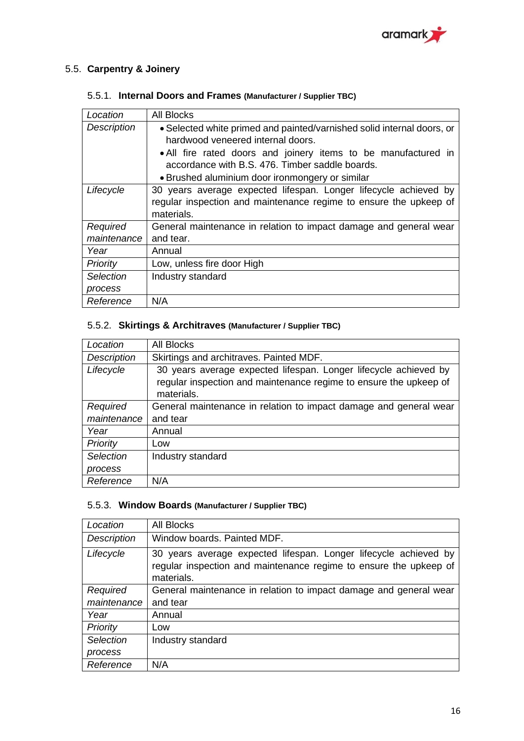

## <span id="page-16-0"></span>5.5. **Carpentry & Joinery**

### 5.5.1. **Internal Doors and Frames (Manufacturer / Supplier TBC)**

| Location           | <b>All Blocks</b>                                                      |
|--------------------|------------------------------------------------------------------------|
| <b>Description</b> | • Selected white primed and painted/varnished solid internal doors, or |
|                    | hardwood veneered internal doors.                                      |
|                    | • All fire rated doors and joinery items to be manufactured in         |
|                    | accordance with B.S. 476. Timber saddle boards.                        |
|                    | • Brushed aluminium door ironmongery or similar                        |
| Lifecycle          | 30 years average expected lifespan. Longer lifecycle achieved by       |
|                    | regular inspection and maintenance regime to ensure the upkeep of      |
|                    | materials.                                                             |
| Required           | General maintenance in relation to impact damage and general wear      |
| maintenance        | and tear.                                                              |
| Year               | Annual                                                                 |
| <b>Priority</b>    | Low, unless fire door High                                             |
| Selection          | Industry standard                                                      |
| process            |                                                                        |
| Reference          | N/A                                                                    |

### 5.5.2. **Skirtings & Architraves (Manufacturer / Supplier TBC)**

| Location    | <b>All Blocks</b>                                                                                                                                   |
|-------------|-----------------------------------------------------------------------------------------------------------------------------------------------------|
| Description | Skirtings and architraves. Painted MDF.                                                                                                             |
| Lifecycle   | 30 years average expected lifespan. Longer lifecycle achieved by<br>regular inspection and maintenance regime to ensure the upkeep of<br>materials. |
| Required    | General maintenance in relation to impact damage and general wear                                                                                   |
| maintenance | and tear                                                                                                                                            |
| Year        | Annual                                                                                                                                              |
| Priority    | Low                                                                                                                                                 |
| Selection   | Industry standard                                                                                                                                   |
| process     |                                                                                                                                                     |
| Reference   | N/A                                                                                                                                                 |

#### 5.5.3. **Window Boards (Manufacturer / Supplier TBC)**

| Location           | <b>All Blocks</b>                                                                                                                                   |
|--------------------|-----------------------------------------------------------------------------------------------------------------------------------------------------|
| <b>Description</b> | Window boards, Painted MDF.                                                                                                                         |
| Lifecycle          | 30 years average expected lifespan. Longer lifecycle achieved by<br>regular inspection and maintenance regime to ensure the upkeep of<br>materials. |
| Required           | General maintenance in relation to impact damage and general wear                                                                                   |
| maintenance        | and tear                                                                                                                                            |
| Year               | Annual                                                                                                                                              |
| Priority           | Low                                                                                                                                                 |
| Selection          | Industry standard                                                                                                                                   |
| process            |                                                                                                                                                     |
| Reference          | N/A                                                                                                                                                 |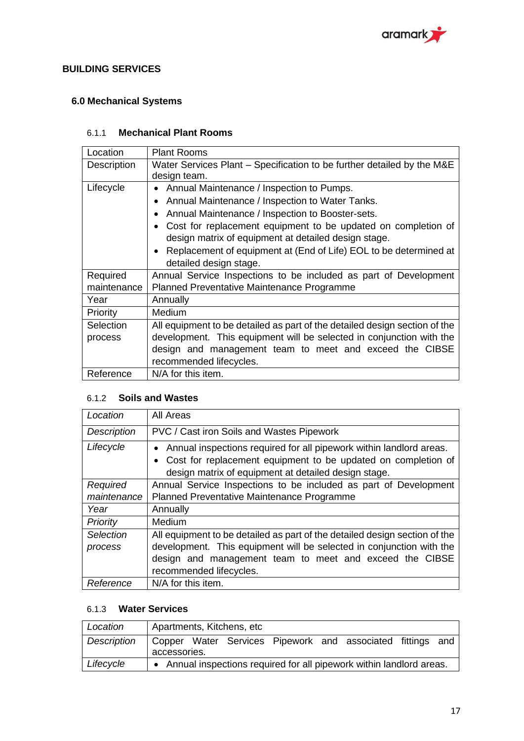

#### <span id="page-17-0"></span>**BUILDING SERVICES**

### <span id="page-17-1"></span>**6.0 Mechanical Systems**

#### 6.1.1 **Mechanical Plant Rooms**

| Location    | <b>Plant Rooms</b>                                                             |
|-------------|--------------------------------------------------------------------------------|
| Description | Water Services Plant – Specification to be further detailed by the M&E         |
|             | design team.                                                                   |
| Lifecycle   | Annual Maintenance / Inspection to Pumps.                                      |
|             | Annual Maintenance / Inspection to Water Tanks.                                |
|             | Annual Maintenance / Inspection to Booster-sets.                               |
|             | Cost for replacement equipment to be updated on completion of                  |
|             | design matrix of equipment at detailed design stage.                           |
|             | Replacement of equipment at (End of Life) EOL to be determined at<br>$\bullet$ |
|             | detailed design stage.                                                         |
| Required    | Annual Service Inspections to be included as part of Development               |
| maintenance | Planned Preventative Maintenance Programme                                     |
| Year        | Annually                                                                       |
| Priority    | Medium                                                                         |
| Selection   | All equipment to be detailed as part of the detailed design section of the     |
| process     | development. This equipment will be selected in conjunction with the           |
|             | design and management team to meet and exceed the CIBSE                        |
|             | recommended lifecycles.                                                        |
| Reference   | N/A for this item.                                                             |

#### 6.1.2 **Soils and Wastes**

| Location           | All Areas                                                                                                             |
|--------------------|-----------------------------------------------------------------------------------------------------------------------|
| <b>Description</b> | PVC / Cast iron Soils and Wastes Pipework                                                                             |
| Lifecycle          | Annual inspections required for all pipework within landlord areas.<br>$\bullet$                                      |
|                    | Cost for replacement equipment to be updated on completion of<br>design matrix of equipment at detailed design stage. |
| Required           | Annual Service Inspections to be included as part of Development                                                      |
| maintenance        | Planned Preventative Maintenance Programme                                                                            |
| Year               | Annually                                                                                                              |
| Priority           | Medium                                                                                                                |
| Selection          | All equipment to be detailed as part of the detailed design section of the                                            |
| process            | development. This equipment will be selected in conjunction with the                                                  |
|                    | design and management team to meet and exceed the CIBSE                                                               |
|                    | recommended lifecycles.                                                                                               |
| Reference          | N/A for this item.                                                                                                    |

#### 6.1.3 **Water Services**

| Location    | Apartments, Kitchens, etc                                                  |
|-------------|----------------------------------------------------------------------------|
| Description | Gopper Water Services Pipework and associated fittings and<br>accessories. |
| Lifecycle   | • Annual inspections required for all pipework within landlord areas.      |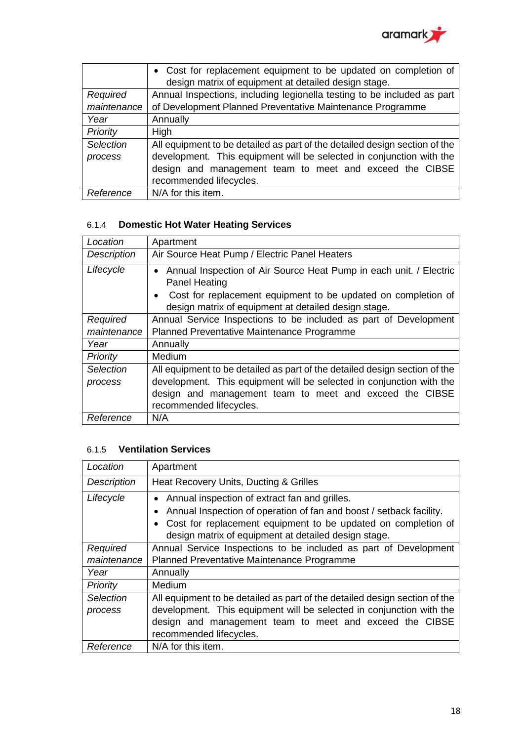

|             | • Cost for replacement equipment to be updated on completion of            |
|-------------|----------------------------------------------------------------------------|
|             | design matrix of equipment at detailed design stage.                       |
| Required    | Annual Inspections, including legionella testing to be included as part    |
| maintenance | of Development Planned Preventative Maintenance Programme                  |
| Year        | Annually                                                                   |
| Priority    | High                                                                       |
| Selection   | All equipment to be detailed as part of the detailed design section of the |
| process     | development. This equipment will be selected in conjunction with the       |
|             | design and management team to meet and exceed the CIBSE                    |
|             | recommended lifecycles.                                                    |
| Reference   | N/A for this item.                                                         |

## 6.1.4 **Domestic Hot Water Heating Services**

| Location           | Apartment                                                                                                                                                                                                           |
|--------------------|---------------------------------------------------------------------------------------------------------------------------------------------------------------------------------------------------------------------|
| <b>Description</b> | Air Source Heat Pump / Electric Panel Heaters                                                                                                                                                                       |
| Lifecycle          | Annual Inspection of Air Source Heat Pump in each unit. / Electric<br><b>Panel Heating</b><br>Cost for replacement equipment to be updated on completion of<br>design matrix of equipment at detailed design stage. |
| Required           | Annual Service Inspections to be included as part of Development                                                                                                                                                    |
| maintenance        | Planned Preventative Maintenance Programme                                                                                                                                                                          |
| Year               | Annually                                                                                                                                                                                                            |
| Priority           | Medium                                                                                                                                                                                                              |
| Selection          | All equipment to be detailed as part of the detailed design section of the                                                                                                                                          |
| process            | development. This equipment will be selected in conjunction with the                                                                                                                                                |
|                    | design and management team to meet and exceed the CIBSE                                                                                                                                                             |
|                    | recommended lifecycles.                                                                                                                                                                                             |
| Reference          | N/A                                                                                                                                                                                                                 |

### 6.1.5 **Ventilation Services**

| Location             | Apartment                                                                                                                                                                                                                                                  |
|----------------------|------------------------------------------------------------------------------------------------------------------------------------------------------------------------------------------------------------------------------------------------------------|
| Description          | Heat Recovery Units, Ducting & Grilles                                                                                                                                                                                                                     |
| Lifecycle            | Annual inspection of extract fan and grilles.<br>$\bullet$<br>Annual Inspection of operation of fan and boost / setback facility.<br>Cost for replacement equipment to be updated on completion of<br>design matrix of equipment at detailed design stage. |
| Required             | Annual Service Inspections to be included as part of Development                                                                                                                                                                                           |
| maintenance          | Planned Preventative Maintenance Programme                                                                                                                                                                                                                 |
| Year                 | Annually                                                                                                                                                                                                                                                   |
| Priority             | <b>Medium</b>                                                                                                                                                                                                                                              |
| Selection<br>process | All equipment to be detailed as part of the detailed design section of the<br>development. This equipment will be selected in conjunction with the<br>design and management team to meet and exceed the CIBSE<br>recommended lifecycles.                   |
| Reference            | N/A for this item.                                                                                                                                                                                                                                         |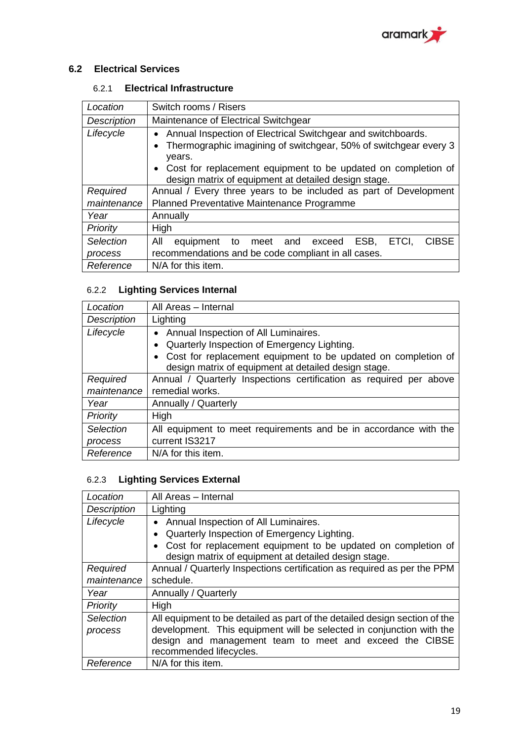

#### <span id="page-19-0"></span>**6.2 Electrical Services**

#### 6.2.1 **Electrical Infrastructure**

| Location           | Switch rooms / Risers                                                                                                                                                                                                                                                 |
|--------------------|-----------------------------------------------------------------------------------------------------------------------------------------------------------------------------------------------------------------------------------------------------------------------|
| <b>Description</b> | Maintenance of Electrical Switchgear                                                                                                                                                                                                                                  |
| Lifecycle          | Annual Inspection of Electrical Switchgear and switchboards.<br>Thermographic imagining of switchgear, 50% of switchgear every 3<br>years.<br>• Cost for replacement equipment to be updated on completion of<br>design matrix of equipment at detailed design stage. |
| Required           | Annual / Every three years to be included as part of Development                                                                                                                                                                                                      |
| maintenance        | Planned Preventative Maintenance Programme                                                                                                                                                                                                                            |
| Year               | Annually                                                                                                                                                                                                                                                              |
| Priority           | High                                                                                                                                                                                                                                                                  |
| Selection          | All<br><b>CIBSE</b><br>ESB,<br>equipment to meet and exceed<br>ETCI,                                                                                                                                                                                                  |
| process            | recommendations and be code compliant in all cases.                                                                                                                                                                                                                   |
| Reference          | N/A for this item.                                                                                                                                                                                                                                                    |

## 6.2.2 **Lighting Services Internal**

| Location           | All Areas - Internal                                                                                                                                                                                         |
|--------------------|--------------------------------------------------------------------------------------------------------------------------------------------------------------------------------------------------------------|
| <b>Description</b> | Lighting                                                                                                                                                                                                     |
| Lifecycle          | Annual Inspection of All Luminaires.<br>Quarterly Inspection of Emergency Lighting.<br>Cost for replacement equipment to be updated on completion of<br>design matrix of equipment at detailed design stage. |
| Required           | Annual / Quarterly Inspections certification as required per above                                                                                                                                           |
| maintenance        | remedial works.                                                                                                                                                                                              |
| Year               | Annually / Quarterly                                                                                                                                                                                         |
| Priority           | High                                                                                                                                                                                                         |
| Selection          | All equipment to meet requirements and be in accordance with the                                                                                                                                             |
| process            | current IS3217                                                                                                                                                                                               |
| Reference          | N/A for this item.                                                                                                                                                                                           |

## 6.2.3 **Lighting Services External**

| Location           | All Areas - Internal                                                       |
|--------------------|----------------------------------------------------------------------------|
| <b>Description</b> | Lighting                                                                   |
| Lifecycle          | Annual Inspection of All Luminaires.                                       |
|                    | Quarterly Inspection of Emergency Lighting.                                |
|                    | Cost for replacement equipment to be updated on completion of              |
|                    | design matrix of equipment at detailed design stage.                       |
| Required           | Annual / Quarterly Inspections certification as required as per the PPM    |
| maintenance        | schedule.                                                                  |
| Year               | Annually / Quarterly                                                       |
| Priority           | High                                                                       |
| Selection          | All equipment to be detailed as part of the detailed design section of the |
| process            | development. This equipment will be selected in conjunction with the       |
|                    | design and management team to meet and exceed the CIBSE                    |
|                    | recommended lifecycles.                                                    |
| Reference          | N/A for this item.                                                         |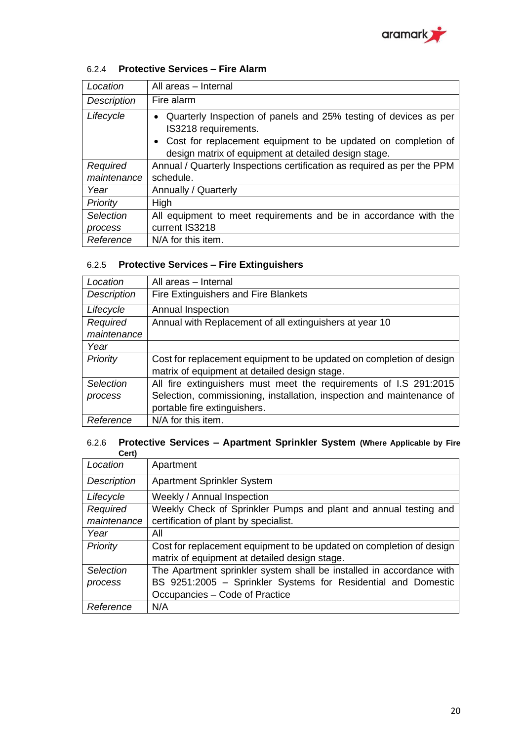

### 6.2.4 **Protective Services – Fire Alarm**

| Location           | All areas - Internal                                                                                  |
|--------------------|-------------------------------------------------------------------------------------------------------|
| <b>Description</b> | Fire alarm                                                                                            |
| Lifecycle          | Quarterly Inspection of panels and 25% testing of devices as per<br>$\bullet$<br>IS3218 requirements. |
|                    | • Cost for replacement equipment to be updated on completion of                                       |
|                    | design matrix of equipment at detailed design stage.                                                  |
| Required           | Annual / Quarterly Inspections certification as required as per the PPM                               |
| maintenance        | schedule.                                                                                             |
| Year               | Annually / Quarterly                                                                                  |
| Priority           | High                                                                                                  |
| Selection          | All equipment to meet requirements and be in accordance with the                                      |
| process            | current IS3218                                                                                        |
| Reference          | N/A for this item.                                                                                    |

#### 6.2.5 **Protective Services – Fire Extinguishers**

| Location         | All areas - Internal                                                  |
|------------------|-----------------------------------------------------------------------|
| Description      | Fire Extinguishers and Fire Blankets                                  |
| Lifecycle        | Annual Inspection                                                     |
| Required         | Annual with Replacement of all extinguishers at year 10               |
| maintenance      |                                                                       |
| Year             |                                                                       |
| Priority         | Cost for replacement equipment to be updated on completion of design  |
|                  | matrix of equipment at detailed design stage.                         |
| <b>Selection</b> | All fire extinguishers must meet the requirements of I.S 291:2015     |
| process          | Selection, commissioning, installation, inspection and maintenance of |
|                  | portable fire extinguishers.                                          |
| Reference        | N/A for this item.                                                    |

#### 6.2.6 **Protective Services – Apartment Sprinkler System (Where Applicable by Fire Cert)**

| Location    | Apartment                                                            |
|-------------|----------------------------------------------------------------------|
| Description | <b>Apartment Sprinkler System</b>                                    |
| Lifecycle   | Weekly / Annual Inspection                                           |
| Required    | Weekly Check of Sprinkler Pumps and plant and annual testing and     |
| maintenance | certification of plant by specialist.                                |
| Year        | All                                                                  |
| Priority    | Cost for replacement equipment to be updated on completion of design |
|             | matrix of equipment at detailed design stage.                        |
| Selection   | The Apartment sprinkler system shall be installed in accordance with |
| process     | BS 9251:2005 - Sprinkler Systems for Residential and Domestic        |
|             | Occupancies - Code of Practice                                       |
| Reference   | N/A                                                                  |